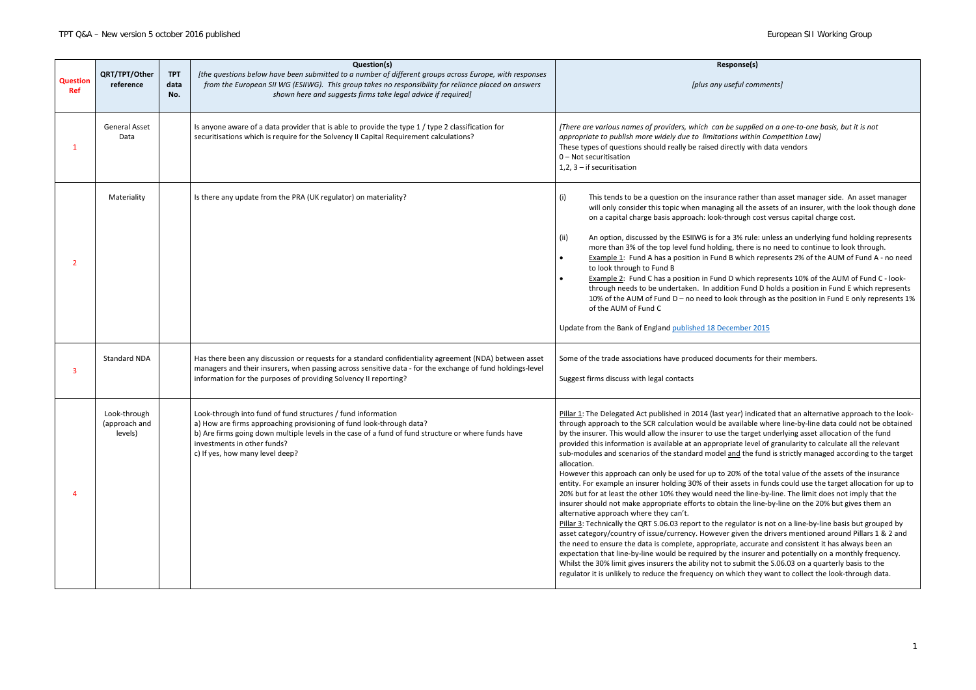*[There are various names of providers, which can be supplied on a one-to-one basis, but it is not appropriate to publish more widely due to limitations within Competition Law]* ctly with data vendors

e rather than asset manager side. An asset manager all the assets of an insurer, with the look though done ough cost versus capital charge cost.

3% rule: unless an underlying fund holding represents there is no need to continue to look through. which represents 2% of the AUM of Fund A - no need

which represents 10% of the AUM of Fund C - lookon Fund D holds a position in Fund E which represents k through as the position in Fund E only represents 1%

### $mber 2015$

ments for their members.

ar) indicated that an alternative approach to the lookvailable where line-by-line data could not be obtained ie target underlying asset allocation of the fund ate level of granularity to calculate all the relevant nd the fund is strictly managed according to the target

 $9%$  of the total value of the assets of the insurance issets in funds could use the target allocation for up to the line-by-line. The limit does not imply that the in the line-by-line on the 20% but gives them an

gulator is not on a line-by-line basis but grouped by given the drivers mentioned around Pillars 1 & 2 and e, accurate and consistent it has always been an e insurer and potentially on a monthly frequency. submit the S.06.03 on a quarterly basis to the rich they want to collect the look-through data.

### **Response(s)**

*[plus any useful comments]*

| <b>Question</b><br><b>Ref</b> | QRT/TPT/Other<br>reference               | <b>TPT</b><br>data<br>No. | Question(s)<br>[the questions below have been submitted to a number of different groups across Europe, with responses<br>from the European SII WG (ESIIWG). This group takes no responsibility for reliance placed on answers<br>shown here and suggests firms take legal advice if required]                 | Respo<br>[plus any use                                                                                                                                                                                                                                                                                                                                                                                                                                                                                                                                                                                                                                                                                                                                                                                                                                                                                                                        |
|-------------------------------|------------------------------------------|---------------------------|---------------------------------------------------------------------------------------------------------------------------------------------------------------------------------------------------------------------------------------------------------------------------------------------------------------|-----------------------------------------------------------------------------------------------------------------------------------------------------------------------------------------------------------------------------------------------------------------------------------------------------------------------------------------------------------------------------------------------------------------------------------------------------------------------------------------------------------------------------------------------------------------------------------------------------------------------------------------------------------------------------------------------------------------------------------------------------------------------------------------------------------------------------------------------------------------------------------------------------------------------------------------------|
| 1                             | <b>General Asset</b><br>Data             |                           | Is anyone aware of a data provider that is able to provide the type 1 / type 2 classification for<br>securitisations which is require for the Solvency II Capital Requirement calculations?                                                                                                                   | [There are various names of providers, which can be<br>appropriate to publish more widely due to limitation.<br>These types of questions should really be raised dired<br>0 - Not securitisation<br>$1, 2, 3$ – if securitisation                                                                                                                                                                                                                                                                                                                                                                                                                                                                                                                                                                                                                                                                                                             |
| 2                             | Materiality                              |                           | Is there any update from the PRA (UK regulator) on materiality?                                                                                                                                                                                                                                               | This tends to be a question on the insurance<br>(i)<br>will only consider this topic when managing<br>on a capital charge basis approach: look-thro<br>An option, discussed by the ESIIWG is for a 3<br>(ii)<br>more than 3% of the top level fund holding,<br>Example 1: Fund A has a position in Fund B<br>to look through to Fund B<br>Example 2: Fund C has a position in Fund D<br>through needs to be undertaken. In addition<br>10% of the AUM of Fund D - no need to lool<br>of the AUM of Fund C<br>Update from the Bank of England published 18 Decer                                                                                                                                                                                                                                                                                                                                                                               |
| 3                             | <b>Standard NDA</b>                      |                           | Has there been any discussion or requests for a standard confidentiality agreement (NDA) between asset<br>managers and their insurers, when passing across sensitive data - for the exchange of fund holdings-level<br>information for the purposes of providing Solvency II reporting?                       | Some of the trade associations have produced docun<br>Suggest firms discuss with legal contacts                                                                                                                                                                                                                                                                                                                                                                                                                                                                                                                                                                                                                                                                                                                                                                                                                                               |
| 4                             | Look-through<br>(approach and<br>levels) |                           | Look-through into fund of fund structures / fund information<br>a) How are firms approaching provisioning of fund look-through data?<br>b) Are firms going down multiple levels in the case of a fund of fund structure or where funds have<br>investments in other funds?<br>c) If yes, how many level deep? | Pillar 1: The Delegated Act published in 2014 (last yea<br>through approach to the SCR calculation would be av<br>by the insurer. This would allow the insurer to use the<br>provided this information is available at an appropria<br>sub-modules and scenarios of the standard model an<br>allocation.<br>However this approach can only be used for up to 20<br>entity. For example an insurer holding 30% of their as<br>20% but for at least the other 10% they would need t<br>insurer should not make appropriate efforts to obtain<br>alternative approach where they can't.<br>Pillar 3: Technically the QRT S.06.03 report to the reg<br>asset category/country of issue/currency. However g<br>the need to ensure the data is complete, appropriate<br>expectation that line-by-line would be required by th<br>Whilst the 30% limit gives insurers the ability not to s<br>regulator it is unlikely to reduce the frequency on wh |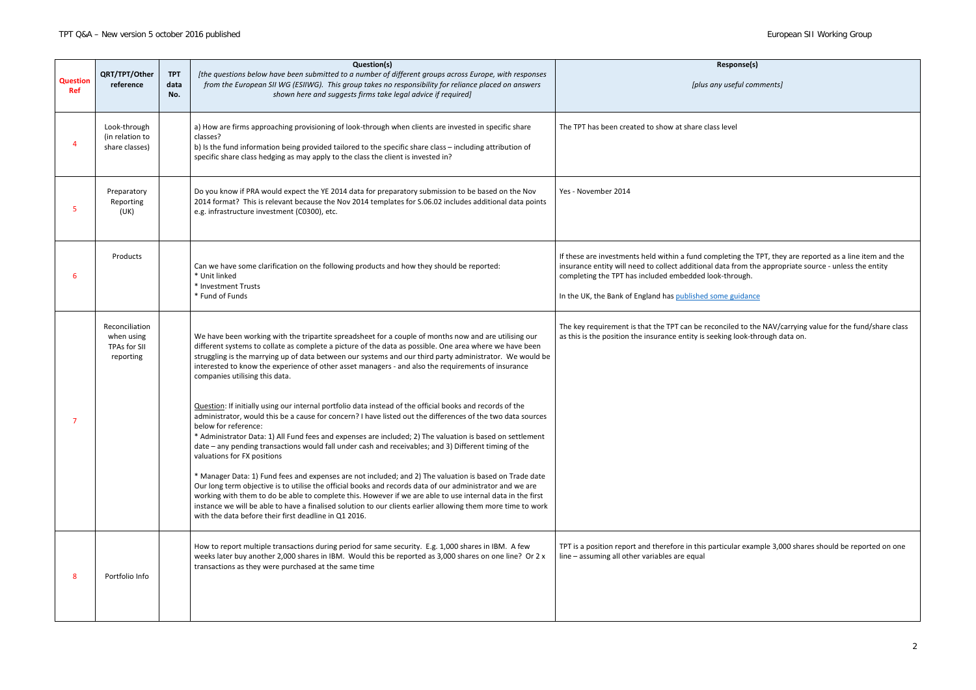| <b>Response(s)</b>                                                                                                                                    |
|-------------------------------------------------------------------------------------------------------------------------------------------------------|
| [plus any useful comments]                                                                                                                            |
|                                                                                                                                                       |
| are class level                                                                                                                                       |
|                                                                                                                                                       |
|                                                                                                                                                       |
|                                                                                                                                                       |
|                                                                                                                                                       |
|                                                                                                                                                       |
| ind completing the TPT, they are reported as a line item and the<br>itional data from the appropriate source - unless the entity<br>ded look-through. |
| shed some guidance                                                                                                                                    |
| be reconciled to the NAV/carrying value for the fund/share class<br>ty is seeking look-through data on.                                               |
|                                                                                                                                                       |
|                                                                                                                                                       |
|                                                                                                                                                       |
|                                                                                                                                                       |
|                                                                                                                                                       |
|                                                                                                                                                       |
|                                                                                                                                                       |
|                                                                                                                                                       |
|                                                                                                                                                       |
|                                                                                                                                                       |
| this particular example 3,000 shares should be reported on one<br>qual                                                                                |
|                                                                                                                                                       |
|                                                                                                                                                       |

|                               | QRT/TPT/Other                                             | <b>TPT</b>  | Question(s)<br>[the questions below have been submitted to a number of different groups across Europe, with responses                                                                                                                                                                                                                                                                                                                                                                                       | <b>Response(s)</b>                                                                                                                                                                                                                                                                                                                        |
|-------------------------------|-----------------------------------------------------------|-------------|-------------------------------------------------------------------------------------------------------------------------------------------------------------------------------------------------------------------------------------------------------------------------------------------------------------------------------------------------------------------------------------------------------------------------------------------------------------------------------------------------------------|-------------------------------------------------------------------------------------------------------------------------------------------------------------------------------------------------------------------------------------------------------------------------------------------------------------------------------------------|
| <b>Question</b><br><b>Ref</b> | reference                                                 | data<br>No. | from the European SII WG (ESIIWG). This group takes no responsibility for reliance placed on answers<br>shown here and suggests firms take legal advice if required]                                                                                                                                                                                                                                                                                                                                        | [plus any useful comments]                                                                                                                                                                                                                                                                                                                |
|                               | Look-through<br>(in relation to<br>share classes)         |             | a) How are firms approaching provisioning of look-through when clients are invested in specific share<br>classes?<br>b) Is the fund information being provided tailored to the specific share class - including attribution of<br>specific share class hedging as may apply to the class the client is invested in?                                                                                                                                                                                         | The TPT has been created to show at share class level                                                                                                                                                                                                                                                                                     |
|                               | Preparatory<br>Reporting<br>(UK)                          |             | Do you know if PRA would expect the YE 2014 data for preparatory submission to be based on the Nov<br>2014 format? This is relevant because the Nov 2014 templates for S.06.02 includes additional data points<br>e.g. infrastructure investment (C0300), etc.                                                                                                                                                                                                                                              | Yes - November 2014                                                                                                                                                                                                                                                                                                                       |
|                               | Products                                                  |             | Can we have some clarification on the following products and how they should be reported:<br>* Unit linked<br>* Investment Trusts<br>* Fund of Funds                                                                                                                                                                                                                                                                                                                                                        | If these are investments held within a fund completing the TPT, they are reported as a line item and the<br>insurance entity will need to collect additional data from the appropriate source - unless the entity<br>completing the TPT has included embedded look-through.<br>In the UK, the Bank of England has published some guidance |
|                               | Reconciliation<br>when using<br>TPAs for SII<br>reporting |             | We have been working with the tripartite spreadsheet for a couple of months now and are utilising our<br>different systems to collate as complete a picture of the data as possible. One area where we have been<br>struggling is the marrying up of data between our systems and our third party administrator. We would be<br>interested to know the experience of other asset managers - and also the requirements of insurance<br>companies utilising this data.                                        | The key requirement is that the TPT can be reconciled to the NAV/carrying value for the fund/share class<br>as this is the position the insurance entity is seeking look-through data on.                                                                                                                                                 |
|                               |                                                           |             | Question: If initially using our internal portfolio data instead of the official books and records of the<br>administrator, would this be a cause for concern? I have listed out the differences of the two data sources<br>below for reference:<br>* Administrator Data: 1) All Fund fees and expenses are included; 2) The valuation is based on settlement<br>date - any pending transactions would fall under cash and receivables; and 3) Different timing of the<br>valuations for FX positions       |                                                                                                                                                                                                                                                                                                                                           |
|                               |                                                           |             | * Manager Data: 1) Fund fees and expenses are not included; and 2) The valuation is based on Trade date<br>Our long term objective is to utilise the official books and records data of our administrator and we are<br>working with them to do be able to complete this. However if we are able to use internal data in the first<br>instance we will be able to have a finalised solution to our clients earlier allowing them more time to work<br>with the data before their first deadline in Q1 2016. |                                                                                                                                                                                                                                                                                                                                           |
| 8                             | Portfolio Info                                            |             | How to report multiple transactions during period for same security. E.g. 1,000 shares in IBM. A few<br>weeks later buy another 2,000 shares in IBM. Would this be reported as 3,000 shares on one line? Or 2 x<br>transactions as they were purchased at the same time                                                                                                                                                                                                                                     | TPT is a position report and therefore in this particular example 3,000 shares should be reported on one<br>line - assuming all other variables are equal                                                                                                                                                                                 |
|                               |                                                           |             |                                                                                                                                                                                                                                                                                                                                                                                                                                                                                                             |                                                                                                                                                                                                                                                                                                                                           |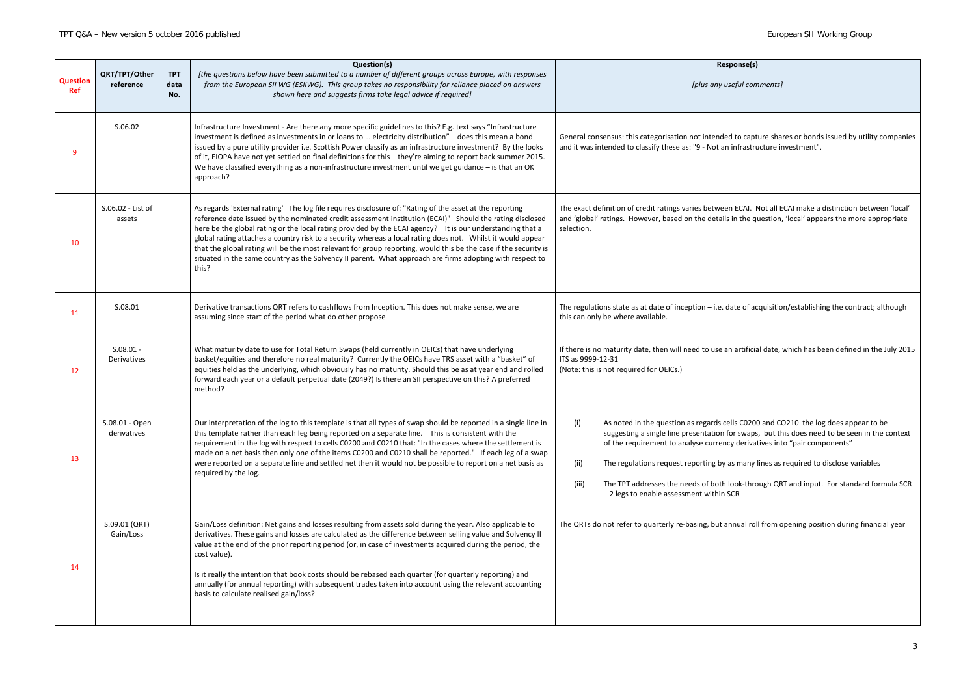## **Response(s)**

*[plus any useful comments]*

to capture shares or bonds issued by utility companies nfrastructure investment".

ECAI. Not all ECAI make a distinction between 'local' n the question, 'local' appears the more appropriate

te of acquisition/establishing the contract; although

artificial date, which has been defined in the July 2015

Is C0200 and CO210 the log does appear to be r swaps, but this does need to be seen in the context derivatives into "pair components"

inany lines as required to disclose variables

ok-through QRT and input. For standard formula SCR<br>CR

nual roll from opening position during financial year

| <b>Question</b><br>Ref | QRT/TPT/Other<br>reference        | <b>TPT</b><br>data<br>No. | Question(s)<br>[the questions below have been submitted to a number of different groups across Europe, with responses<br>from the European SII WG (ESIIWG). This group takes no responsibility for reliance placed on answers<br>shown here and suggests firms take legal advice if required]                                                                                                                                                                                                                                                                                                                                                                                            | Respor<br>[plus any usefi                                                                                                                                                                                                                                                                        |
|------------------------|-----------------------------------|---------------------------|------------------------------------------------------------------------------------------------------------------------------------------------------------------------------------------------------------------------------------------------------------------------------------------------------------------------------------------------------------------------------------------------------------------------------------------------------------------------------------------------------------------------------------------------------------------------------------------------------------------------------------------------------------------------------------------|--------------------------------------------------------------------------------------------------------------------------------------------------------------------------------------------------------------------------------------------------------------------------------------------------|
| 9                      | S.06.02                           |                           | Infrastructure Investment - Are there any more specific guidelines to this? E.g. text says "Infrastructure<br>investment is defined as investments in or loans to  electricity distribution" - does this mean a bond<br>issued by a pure utility provider i.e. Scottish Power classify as an infrastructure investment? By the looks<br>of it, EIOPA have not yet settled on final definitions for this - they're aiming to report back summer 2015.<br>We have classified everything as a non-infrastructure investment until we get guidance $-$ is that an OK<br>approach?                                                                                                            | General consensus: this categorisation not intended to<br>and it was intended to classify these as: "9 - Not an inf                                                                                                                                                                              |
| 10                     | S.06.02 - List of<br>assets       |                           | As regards 'External rating' The log file requires disclosure of: "Rating of the asset at the reporting<br>reference date issued by the nominated credit assessment institution (ECAI)" Should the rating disclosed<br>here be the global rating or the local rating provided by the ECAI agency? It is our understanding that a<br>global rating attaches a country risk to a security whereas a local rating does not.  Whilst it would appear<br>that the global rating will be the most relevant for group reporting, would this be the case if the security is<br>situated in the same country as the Solvency II parent. What approach are firms adopting with respect to<br>this? | The exact definition of credit ratings varies between E<br>and 'global' ratings. However, based on the details in<br>selection.                                                                                                                                                                  |
| 11                     | S.08.01                           |                           | Derivative transactions QRT refers to cashflows from Inception. This does not make sense, we are<br>assuming since start of the period what do other propose                                                                                                                                                                                                                                                                                                                                                                                                                                                                                                                             | The regulations state as at date of inception $-$ i.e. date<br>this can only be where available.                                                                                                                                                                                                 |
| 12                     | $S.08.01 -$<br><b>Derivatives</b> |                           | What maturity date to use for Total Return Swaps (held currently in OEICs) that have underlying<br>basket/equities and therefore no real maturity? Currently the OEICs have TRS asset with a "basket" of<br>equities held as the underlying, which obviously has no maturity. Should this be as at year end and rolled<br>forward each year or a default perpetual date (2049?) Is there an SII perspective on this? A preferred<br>method?                                                                                                                                                                                                                                              | If there is no maturity date, then will need to use an a<br>ITS as 9999-12-31<br>(Note: this is not required for OEICs.)                                                                                                                                                                         |
| 13                     | S.08.01 - Open<br>derivatives     |                           | Our interpretation of the log to this template is that all types of swap should be reported in a single line in<br>this template rather than each leg being reported on a separate line.  This is consistent with the<br>requirement in the log with respect to cells C0200 and C0210 that: "In the cases where the settlement is<br>made on a net basis then only one of the items C0200 and C0210 shall be reported." If each leg of a swap<br>were reported on a separate line and settled net then it would not be possible to report on a net basis as<br>required by the log.                                                                                                      | (i)<br>As noted in the question as regards cells<br>suggesting a single line presentation for :<br>of the requirement to analyse currency o<br>The regulations request reporting by as r<br>(ii)<br>The TPT addresses the needs of both loo<br>(iii)<br>- 2 legs to enable assessment within SCR |
| 14                     | S.09.01 (QRT)<br>Gain/Loss        |                           | Gain/Loss definition: Net gains and losses resulting from assets sold during the year. Also applicable to<br>derivatives. These gains and losses are calculated as the difference between selling value and Solvency II<br>value at the end of the prior reporting period (or, in case of investments acquired during the period, the<br>cost value).<br>Is it really the intention that book costs should be rebased each quarter (for quarterly reporting) and<br>annually (for annual reporting) with subsequent trades taken into account using the relevant accounting<br>basis to calculate realised gain/loss?                                                                    | The QRTs do not refer to quarterly re-basing, but annu                                                                                                                                                                                                                                           |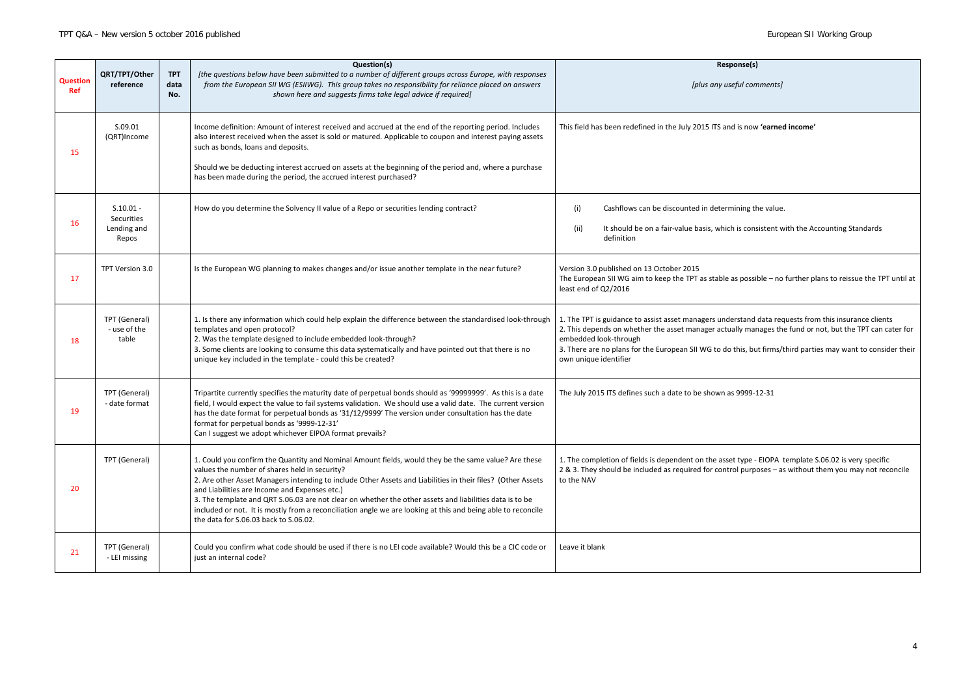| <b>Response(s)</b><br>[plus any useful comments]                                                                                                                                                                                                                                                                                                                                   |  |  |  |  |
|------------------------------------------------------------------------------------------------------------------------------------------------------------------------------------------------------------------------------------------------------------------------------------------------------------------------------------------------------------------------------------|--|--|--|--|
| This field has been redefined in the July 2015 ITS and is now 'earned income'                                                                                                                                                                                                                                                                                                      |  |  |  |  |
|                                                                                                                                                                                                                                                                                                                                                                                    |  |  |  |  |
| Cashflows can be discounted in determining the value.<br>(i)                                                                                                                                                                                                                                                                                                                       |  |  |  |  |
| (ii)<br>It should be on a fair-value basis, which is consistent with the Accounting Standards<br>definition                                                                                                                                                                                                                                                                        |  |  |  |  |
| Version 3.0 published on 13 October 2015<br>The European SII WG aim to keep the TPT as stable as possible – no further plans to reissue the TPT until at<br>least end of Q2/2016                                                                                                                                                                                                   |  |  |  |  |
| 1. The TPT is guidance to assist asset managers understand data requests from this insurance clients<br>2. This depends on whether the asset manager actually manages the fund or not, but the TPT can cater for<br>embedded look-through<br>3. There are no plans for the European SII WG to do this, but firms/third parties may want to consider their<br>own unique identifier |  |  |  |  |
| The July 2015 ITS defines such a date to be shown as 9999-12-31                                                                                                                                                                                                                                                                                                                    |  |  |  |  |
| 1. The completion of fields is dependent on the asset type - EIOPA template S.06.02 is very specific<br>2 & 3. They should be included as required for control purposes - as without them you may not reconcile<br>to the NAV                                                                                                                                                      |  |  |  |  |
| Leave it blank                                                                                                                                                                                                                                                                                                                                                                     |  |  |  |  |
|                                                                                                                                                                                                                                                                                                                                                                                    |  |  |  |  |

| <b>Question</b><br><b>Ref</b> | QRT/TPT/Other<br>reference                        | <b>TPT</b><br>data<br>No. | Question(s)<br>[the questions below have been submitted to a number of different groups across Europe, with responses<br>from the European SII WG (ESIIWG). This group takes no responsibility for reliance placed on answers<br>shown here and suggests firms take legal advice if required]                                                                                                                                                                                                                                                                                             | Response(s)<br>[plus any useful comments]                                                                                                                                                                                                                                                                                                                                       |
|-------------------------------|---------------------------------------------------|---------------------------|-------------------------------------------------------------------------------------------------------------------------------------------------------------------------------------------------------------------------------------------------------------------------------------------------------------------------------------------------------------------------------------------------------------------------------------------------------------------------------------------------------------------------------------------------------------------------------------------|---------------------------------------------------------------------------------------------------------------------------------------------------------------------------------------------------------------------------------------------------------------------------------------------------------------------------------------------------------------------------------|
| 15                            | S.09.01<br>(QRT)Income                            |                           | Income definition: Amount of interest received and accrued at the end of the reporting period. Includes<br>also interest received when the asset is sold or matured. Applicable to coupon and interest paying assets<br>such as bonds, loans and deposits.<br>Should we be deducting interest accrued on assets at the beginning of the period and, where a purchase<br>has been made during the period, the accrued interest purchased?                                                                                                                                                  | This field has been redefined in the July 2015 ITS and is now 'earned income'                                                                                                                                                                                                                                                                                                   |
| 16                            | $S.10.01 -$<br>Securities<br>Lending and<br>Repos |                           | How do you determine the Solvency II value of a Repo or securities lending contract?                                                                                                                                                                                                                                                                                                                                                                                                                                                                                                      | Cashflows can be discounted in determining the value.<br>(i)<br>It should be on a fair-value basis, which is consistent with the Accounting Standards<br>(ii)<br>definition                                                                                                                                                                                                     |
| 17                            | TPT Version 3.0                                   |                           | Is the European WG planning to makes changes and/or issue another template in the near future?                                                                                                                                                                                                                                                                                                                                                                                                                                                                                            | Version 3.0 published on 13 October 2015<br>The European SII WG aim to keep the TPT as stable as possible - no further plans to reissue the TPT until a<br>least end of Q2/2016                                                                                                                                                                                                 |
| 18                            | TPT (General)<br>- use of the<br>table            |                           | 1. Is there any information which could help explain the difference between the standardised look-through<br>templates and open protocol?<br>2. Was the template designed to include embedded look-through?<br>3. Some clients are looking to consume this data systematically and have pointed out that there is no<br>unique key included in the template - could this be created?                                                                                                                                                                                                      | 1. The TPT is guidance to assist asset managers understand data requests from this insurance clients<br>2. This depends on whether the asset manager actually manages the fund or not, but the TPT can cater fo<br>embedded look-through<br>3. There are no plans for the European SII WG to do this, but firms/third parties may want to consider the<br>own unique identifier |
| 19                            | TPT (General)<br>- date format                    |                           | Tripartite currently specifies the maturity date of perpetual bonds should as '99999999'. As this is a date<br>field, I would expect the value to fail systems validation. We should use a valid date. The current version<br>has the date format for perpetual bonds as '31/12/9999' The version under consultation has the date<br>format for perpetual bonds as '9999-12-31'<br>Can I suggest we adopt whichever EIPOA format prevails?                                                                                                                                                | The July 2015 ITS defines such a date to be shown as 9999-12-31                                                                                                                                                                                                                                                                                                                 |
| 20                            | TPT (General)                                     |                           | 1. Could you confirm the Quantity and Nominal Amount fields, would they be the same value? Are these<br>values the number of shares held in security?<br>2. Are other Asset Managers intending to include Other Assets and Liabilities in their files? (Other Assets<br>and Liabilities are Income and Expenses etc.)<br>3. The template and QRT S.06.03 are not clear on whether the other assets and liabilities data is to be<br>included or not. It is mostly from a reconciliation angle we are looking at this and being able to reconcile<br>the data for S.06.03 back to S.06.02. | 1. The completion of fields is dependent on the asset type - EIOPA template S.06.02 is very specific<br>2 & 3. They should be included as required for control purposes - as without them you may not reconcile<br>to the NAV                                                                                                                                                   |
| 21                            | TPT (General)<br>- LEI missing                    |                           | Could you confirm what code should be used if there is no LEI code available? Would this be a CIC code or<br>just an internal code?                                                                                                                                                                                                                                                                                                                                                                                                                                                       | Leave it blank                                                                                                                                                                                                                                                                                                                                                                  |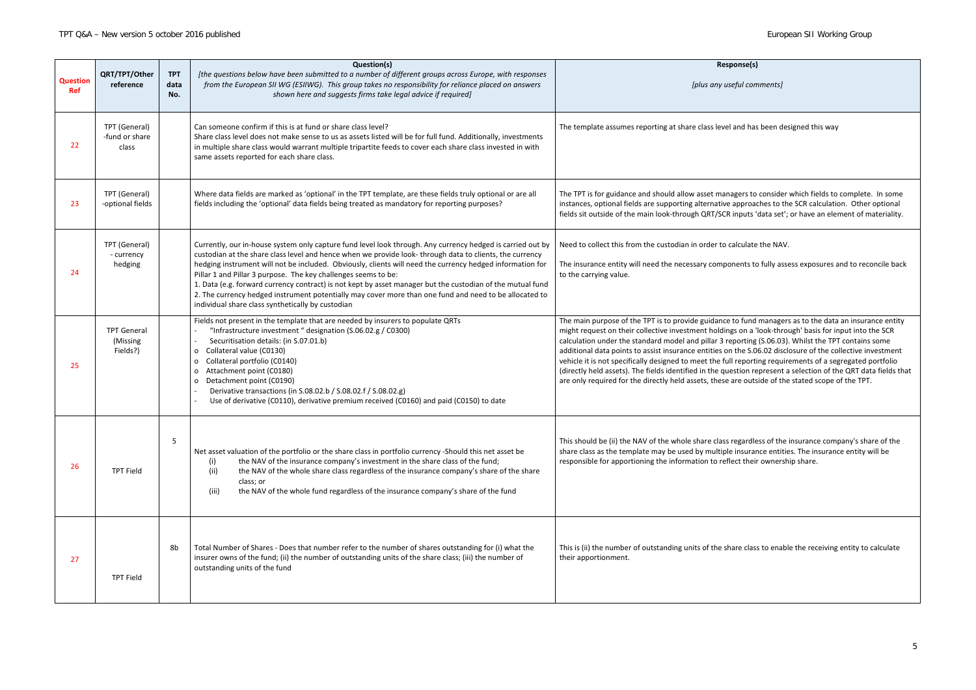| <b>Question</b><br>Ref | QRT/TPT/Other<br>reference                 | <b>TPT</b><br>data<br>No. | Question(s)<br>[the questions below have been submitted to a number of different groups across Europe, with responses<br>from the European SII WG (ESIIWG). This group takes no responsibility for reliance placed on answers<br>shown here and suggests firms take legal advice if required]                                                                                                                                                                                                                                                                                                                                                                                      | Respo<br>[plus any use]                                                                                                                                                                                                                                                                                                                                                                                                    |
|------------------------|--------------------------------------------|---------------------------|------------------------------------------------------------------------------------------------------------------------------------------------------------------------------------------------------------------------------------------------------------------------------------------------------------------------------------------------------------------------------------------------------------------------------------------------------------------------------------------------------------------------------------------------------------------------------------------------------------------------------------------------------------------------------------|----------------------------------------------------------------------------------------------------------------------------------------------------------------------------------------------------------------------------------------------------------------------------------------------------------------------------------------------------------------------------------------------------------------------------|
| 22                     | TPT (General)<br>-fund or share<br>class   |                           | Can someone confirm if this is at fund or share class level?<br>Share class level does not make sense to us as assets listed will be for full fund. Additionally, investments<br>in multiple share class would warrant multiple tripartite feeds to cover each share class invested in with<br>same assets reported for each share class.                                                                                                                                                                                                                                                                                                                                          | The template assumes reporting at share class level a                                                                                                                                                                                                                                                                                                                                                                      |
| 23                     | TPT (General)<br>-optional fields          |                           | Where data fields are marked as 'optional' in the TPT template, are these fields truly optional or are all<br>fields including the 'optional' data fields being treated as mandatory for reporting purposes?                                                                                                                                                                                                                                                                                                                                                                                                                                                                       | The TPT is for guidance and should allow asset manag<br>instances, optional fields are supporting alternative a<br>fields sit outside of the main look-through QRT/SCR in                                                                                                                                                                                                                                                  |
| 24                     | TPT (General)<br>- currency<br>hedging     |                           | Currently, our in-house system only capture fund level look through. Any currency hedged is carried out by<br>custodian at the share class level and hence when we provide look- through data to clients, the currency<br>hedging instrument will not be included. Obviously, clients will need the currency hedged information for<br>Pillar 1 and Pillar 3 purpose. The key challenges seems to be:<br>1. Data (e.g. forward currency contract) is not kept by asset manager but the custodian of the mutual fund<br>2. The currency hedged instrument potentially may cover more than one fund and need to be allocated to<br>individual share class synthetically by custodian | Need to collect this from the custodian in order to cal<br>The insurance entity will need the necessary compon<br>to the carrying value.                                                                                                                                                                                                                                                                                   |
| 25                     | <b>TPT General</b><br>(Missing<br>Fields?) |                           | Fields not present in the template that are needed by insurers to populate QRTs<br>"Infrastructure investment " designation (S.06.02.g / C0300)<br>Securitisation details: (in S.07.01.b)<br>Collateral value (C0130)<br>0<br>Collateral portfolio (C0140)<br>0<br>Attachment point (C0180)<br>0<br>Detachment point (C0190)<br>0<br>Derivative transactions (in S.08.02.b / S.08.02.f / S.08.02.g)<br>Use of derivative (C0110), derivative premium received (C0160) and paid (C0150) to date                                                                                                                                                                                     | The main purpose of the TPT is to provide guidance to<br>might request on their collective investment holdings<br>calculation under the standard model and pillar 3 rep<br>additional data points to assist insurance entities on t<br>vehicle it is not specifically designed to meet the full r<br>(directly held assets). The fields identified in the ques<br>are only required for the directly held assets, these ar |
| 26                     | <b>TPT Field</b>                           | 5                         | Net asset valuation of the portfolio or the share class in portfolio currency -Should this net asset be<br>the NAV of the insurance company's investment in the share class of the fund;<br>(i)<br>the NAV of the whole share class regardless of the insurance company's share of the share<br>(ii)<br>class; or<br>the NAV of the whole fund regardless of the insurance company's share of the fund<br>(iii)                                                                                                                                                                                                                                                                    | This should be (ii) the NAV of the whole share class re<br>share class as the template may be used by multiple i<br>responsible for apportioning the information to refleo                                                                                                                                                                                                                                                 |
| 27                     | <b>TPT Field</b>                           | 8b                        | Total Number of Shares - Does that number refer to the number of shares outstanding for (i) what the<br>insurer owns of the fund; (ii) the number of outstanding units of the share class; (iii) the number of<br>outstanding units of the fund                                                                                                                                                                                                                                                                                                                                                                                                                                    | This is (ii) the number of outstanding units of the share<br>their apportionment.                                                                                                                                                                                                                                                                                                                                          |

# onse(s) *[plus any useful comments]* and has been designed this way gers to consider which fields to complete. In some approaches to the SCR calculation. Other optional inputs 'data set'; or have an element of materiality. alculate the NAV. nents to fully assess exposures and to reconcile back to fund managers as to the data an insurance entity s on a 'look-through' basis for input into the SCR porting (S.06.03). Whilst the TPT contains some the S.06.02 disclosure of the collective investment reporting requirements of a segregated portfolio stion represent a selection of the QRT data fields that are outside of the stated scope of the TPT. egardless of the insurance company's share of the insurance entities. The insurance entity will be ect their ownership share. are class to enable the receiving entity to calculate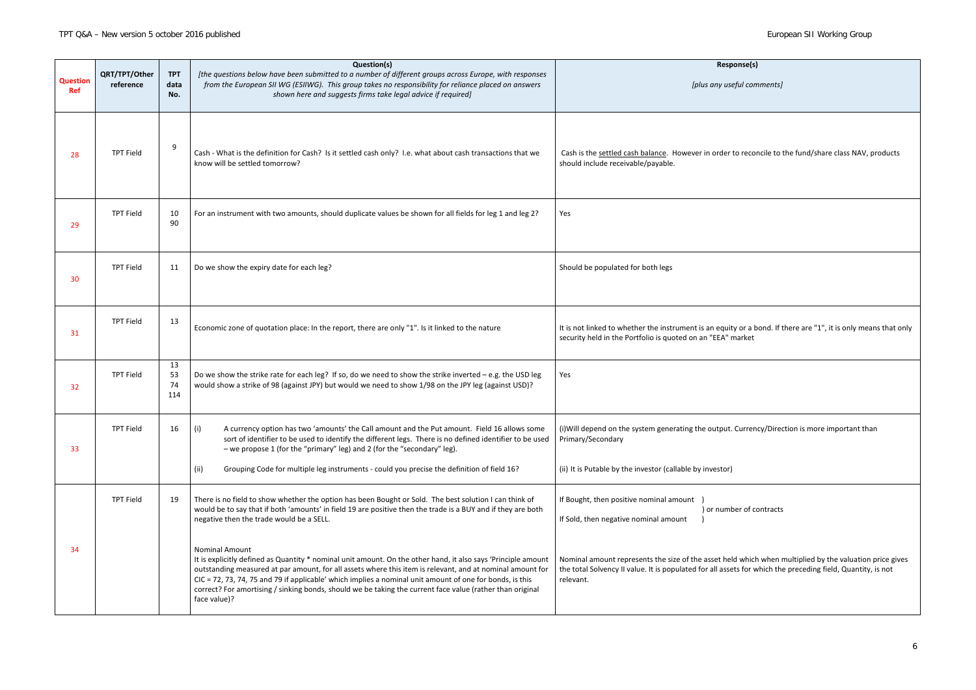| Response(s)                                                                                                                           |
|---------------------------------------------------------------------------------------------------------------------------------------|
| [plus any useful comments]                                                                                                            |
| ver in order to reconcile to the fund/share class NAV, products                                                                       |
|                                                                                                                                       |
|                                                                                                                                       |
| nt is an equity or a bond. If there are "1", it is only means that only<br>n an "EEA" market                                          |
|                                                                                                                                       |
| the output. Currency/Direction is more important than                                                                                 |
| by investor)                                                                                                                          |
| t<br>$\mathcal{E}$<br>) or number of contracts                                                                                        |
| the asset held which when multiplied by the valuation price gives<br>d for all assets for which the preceding field, Quantity, is not |
|                                                                                                                                       |

| <b>Question</b><br><b>Ref</b> | QRT/TPT/Other<br>reference | <b>TPT</b><br>data<br>No. | Question(s)<br>[the questions below have been submitted to a number of different groups across Europe, with responses<br>from the European SII WG (ESIIWG). This group takes no responsibility for reliance placed on answers<br>shown here and suggests firms take legal advice if required]                                                                                                                                                                                                | <b>Response(s)</b><br>[plus any useful comments]                                                                                                                                                                                    |
|-------------------------------|----------------------------|---------------------------|----------------------------------------------------------------------------------------------------------------------------------------------------------------------------------------------------------------------------------------------------------------------------------------------------------------------------------------------------------------------------------------------------------------------------------------------------------------------------------------------|-------------------------------------------------------------------------------------------------------------------------------------------------------------------------------------------------------------------------------------|
| 28                            | <b>TPT Field</b>           | 9                         | Cash - What is the definition for Cash? Is it settled cash only? I.e. what about cash transactions that we<br>know will be settled tomorrow?                                                                                                                                                                                                                                                                                                                                                 | Cash is the settled cash balance. However in order to reconcile to the fund/share class NAV, products<br>should include receivable/payable.                                                                                         |
| 29                            | <b>TPT Field</b>           | 10<br>90                  | For an instrument with two amounts, should duplicate values be shown for all fields for leg 1 and leg 2?                                                                                                                                                                                                                                                                                                                                                                                     | Yes                                                                                                                                                                                                                                 |
| 30                            | <b>TPT Field</b>           | 11                        | Do we show the expiry date for each leg?                                                                                                                                                                                                                                                                                                                                                                                                                                                     | Should be populated for both legs                                                                                                                                                                                                   |
| 31                            | <b>TPT Field</b>           | 13                        | Economic zone of quotation place: In the report, there are only "1". Is it linked to the nature                                                                                                                                                                                                                                                                                                                                                                                              | It is not linked to whether the instrument is an equity or a bond. If there are "1", it is only means that only<br>security held in the Portfolio is quoted on an "EEA" market                                                      |
| 32                            | <b>TPT Field</b>           | 13<br>53<br>74<br>114     | Do we show the strike rate for each leg? If so, do we need to show the strike inverted $-$ e.g. the USD leg<br>would show a strike of 98 (against JPY) but would we need to show 1/98 on the JPY leg (against USD)?                                                                                                                                                                                                                                                                          | Yes                                                                                                                                                                                                                                 |
| 33                            | <b>TPT Field</b>           | 16                        | A currency option has two 'amounts' the Call amount and the Put amount. Field 16 allows some<br>(i)<br>sort of identifier to be used to identify the different legs. There is no defined identifier to be used<br>- we propose 1 (for the "primary" leg) and 2 (for the "secondary" leg).<br>Grouping Code for multiple leg instruments - could you precise the definition of field 16?<br>(ii)                                                                                              | (i) Will depend on the system generating the output. Currency/Direction is more important than<br>Primary/Secondary<br>(ii) It is Putable by the investor (callable by investor)                                                    |
|                               | <b>TPT Field</b>           | 19                        | There is no field to show whether the option has been Bought or Sold. The best solution I can think of<br>would be to say that if both 'amounts' in field 19 are positive then the trade is a BUY and if they are both<br>negative then the trade would be a SELL.                                                                                                                                                                                                                           | If Bought, then positive nominal amount<br>) or number of contracts<br>If Sold, then negative nominal amount                                                                                                                        |
| -34                           |                            |                           | <b>Nominal Amount</b><br>It is explicitly defined as Quantity * nominal unit amount. On the other hand, it also says 'Principle amount<br>outstanding measured at par amount, for all assets where this item is relevant, and at nominal amount for<br>CIC = 72, 73, 74, 75 and 79 if applicable' which implies a nominal unit amount of one for bonds, is this<br>correct? For amortising / sinking bonds, should we be taking the current face value (rather than original<br>face value)? | Nominal amount represents the size of the asset held which when multiplied by the valuation price gives<br>the total Solvency II value. It is populated for all assets for which the preceding field, Quantity, is not<br>relevant. |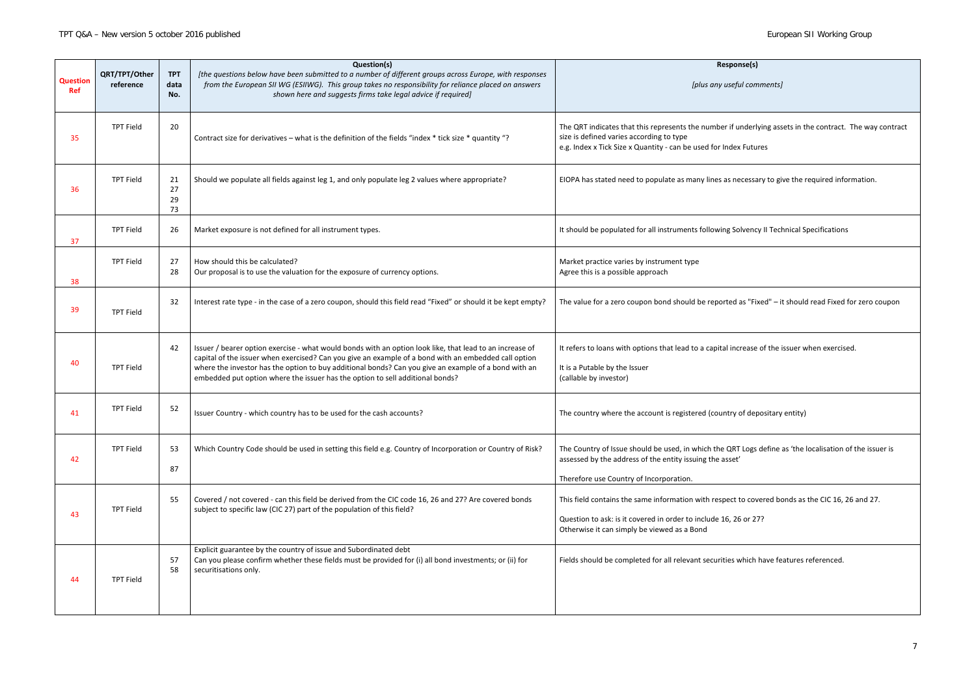| Response(s)<br>[plus any useful comments]                                                  |
|--------------------------------------------------------------------------------------------|
| he number if underlying assets in the contract. The way contract<br>used for Index Futures |
| any lines as necessary to give the required information.                                   |
| ts following Solvency II Technical Specifications                                          |
| оe                                                                                         |
| d be reported as "Fixed" - it should read Fixed for zero coupon                            |
| to a capital increase of the issuer when exercised.                                        |
| ered (country of depositary entity)                                                        |
| which the QRT Logs define as 'the localisation of the issuer is<br>uing the asset'         |
| with respect to covered bonds as the CIC 16, 26 and 27.                                    |
| include 16, 26 or 27?<br>3ond                                                              |
| ant securities which have features referenced.                                             |

| <b>Question</b><br>Ref | QRT/TPT/Other<br>reference | <b>TPT</b><br>data<br>No. | Question(s)<br>[the questions below have been submitted to a number of different groups across Europe, with responses<br>from the European SII WG (ESIIWG). This group takes no responsibility for reliance placed on answers<br>shown here and suggests firms take legal advice if required]                                                                                                             | Response(s)<br>[plus any useful comments]                                                                                                                                                                                 |
|------------------------|----------------------------|---------------------------|-----------------------------------------------------------------------------------------------------------------------------------------------------------------------------------------------------------------------------------------------------------------------------------------------------------------------------------------------------------------------------------------------------------|---------------------------------------------------------------------------------------------------------------------------------------------------------------------------------------------------------------------------|
| 35                     | <b>TPT Field</b>           | 20                        | Contract size for derivatives - what is the definition of the fields "index * tick size * quantity "?                                                                                                                                                                                                                                                                                                     | The QRT indicates that this represents the number if underlying assets in the contract. The way contract<br>size is defined varies according to type<br>e.g. Index x Tick Size x Quantity - can be used for Index Futures |
| 36                     | <b>TPT Field</b>           | 21<br>27<br>29<br>73      | Should we populate all fields against leg 1, and only populate leg 2 values where appropriate?                                                                                                                                                                                                                                                                                                            | EIOPA has stated need to populate as many lines as necessary to give the required information.                                                                                                                            |
| 37                     | <b>TPT Field</b>           | 26                        | Market exposure is not defined for all instrument types.                                                                                                                                                                                                                                                                                                                                                  | It should be populated for all instruments following Solvency II Technical Specifications                                                                                                                                 |
| 38                     | <b>TPT Field</b>           | 27<br>-28                 | How should this be calculated?<br>Our proposal is to use the valuation for the exposure of currency options.                                                                                                                                                                                                                                                                                              | Market practice varies by instrument type<br>Agree this is a possible approach                                                                                                                                            |
| 39                     | <b>TPT Field</b>           | 32                        | Interest rate type - in the case of a zero coupon, should this field read "Fixed" or should it be kept empty?                                                                                                                                                                                                                                                                                             | The value for a zero coupon bond should be reported as "Fixed" - it should read Fixed for zero coupon                                                                                                                     |
| 40                     | <b>TPT Field</b>           | 42                        | Issuer / bearer option exercise - what would bonds with an option look like, that lead to an increase of<br>capital of the issuer when exercised? Can you give an example of a bond with an embedded call option<br>where the investor has the option to buy additional bonds? Can you give an example of a bond with an<br>embedded put option where the issuer has the option to sell additional bonds? | It refers to loans with options that lead to a capital increase of the issuer when exercised.<br>It is a Putable by the Issuer<br>(callable by investor)                                                                  |
| 41                     | <b>TPT Field</b>           | 52                        | Issuer Country - which country has to be used for the cash accounts?                                                                                                                                                                                                                                                                                                                                      | The country where the account is registered (country of depositary entity)                                                                                                                                                |
| 42                     | <b>TPT Field</b>           | 53<br>87                  | Which Country Code should be used in setting this field e.g. Country of Incorporation or Country of Risk?                                                                                                                                                                                                                                                                                                 | The Country of Issue should be used, in which the QRT Logs define as 'the localisation of the issuer is<br>assessed by the address of the entity issuing the asset'<br>Therefore use Country of Incorporation.            |
| 43                     | <b>TPT Field</b>           | 55                        | Covered / not covered - can this field be derived from the CIC code 16, 26 and 27? Are covered bonds<br>subject to specific law (CIC 27) part of the population of this field?                                                                                                                                                                                                                            | This field contains the same information with respect to covered bonds as the CIC 16, 26 and 27.<br>Question to ask: is it covered in order to include 16, 26 or 27?<br>Otherwise it can simply be viewed as a Bond       |
| 44                     | <b>TPT Field</b>           | 57<br>58                  | Explicit guarantee by the country of issue and Subordinated debt<br>Can you please confirm whether these fields must be provided for (i) all bond investments; or (ii) for<br>securitisations only.                                                                                                                                                                                                       | Fields should be completed for all relevant securities which have features referenced.                                                                                                                                    |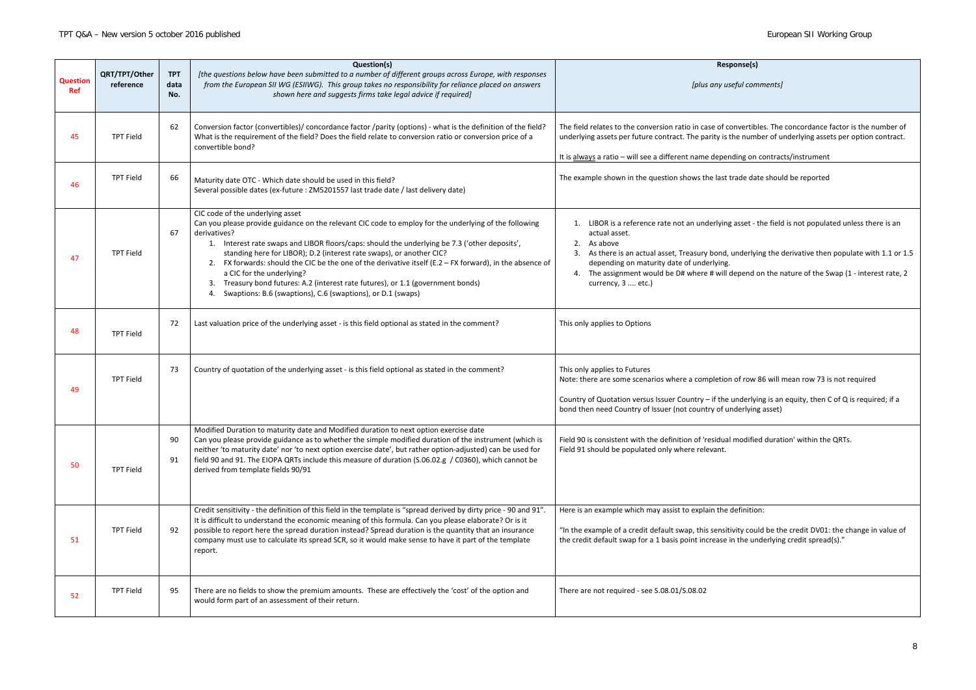*[plus any useful comments]*

nvertibles. The concordance factor is the number of ne number of underlying assets per option contract.

ding on contracts/instrument

ade date should be reported

asset - the field is not populated unless there is an

anderlying the derivative then populate with 1.1 or 1.5

epend on the nature of the Swap (1 - interest rate, 2

of row 86 will mean row 73 is not required

inderlying is an equity, then C of Q is required; if a derlying asset)

modified duration' within the QRTs.

lefinition:

vity could be the credit DV01: the change in value of ithe underlying credit spread(s)."

| <b>Question</b><br><b>Ref</b> | QRT/TPT/Other<br>reference | <b>TPT</b><br>data<br>No. | Question(s)<br>[the questions below have been submitted to a number of different groups across Europe, with responses<br>from the European SII WG (ESIIWG). This group takes no responsibility for reliance placed on answers<br>shown here and suggests firms take legal advice if required]                                                                                                                                                                                                                                                                                                                                                    | Respo<br>[plus any use                                                                                                                                                                                                                                         |
|-------------------------------|----------------------------|---------------------------|--------------------------------------------------------------------------------------------------------------------------------------------------------------------------------------------------------------------------------------------------------------------------------------------------------------------------------------------------------------------------------------------------------------------------------------------------------------------------------------------------------------------------------------------------------------------------------------------------------------------------------------------------|----------------------------------------------------------------------------------------------------------------------------------------------------------------------------------------------------------------------------------------------------------------|
| 45                            | <b>TPT Field</b>           | 62                        | Conversion factor (convertibles)/ concordance factor /parity (options) - what is the definition of the field?<br>What is the requirement of the field? Does the field relate to conversion ratio or conversion price of a<br>convertible bond?                                                                                                                                                                                                                                                                                                                                                                                                   | The field relates to the conversion ratio in case of cor<br>underlying assets per future contract. The parity is th<br>It is always a ratio - will see a different name depend                                                                                 |
| 46                            | <b>TPT Field</b>           | 66                        | Maturity date OTC - Which date should be used in this field?<br>Several possible dates (ex-future : ZM5201557 last trade date / last delivery date)                                                                                                                                                                                                                                                                                                                                                                                                                                                                                              | The example shown in the question shows the last tra                                                                                                                                                                                                           |
| 47                            | <b>TPT Field</b>           | 67                        | CIC code of the underlying asset<br>Can you please provide guidance on the relevant CIC code to employ for the underlying of the following<br>derivatives?<br>Interest rate swaps and LIBOR floors/caps: should the underlying be 7.3 ('other deposits',<br>1.<br>standing here for LIBOR); D.2 (interest rate swaps), or another CIC?<br>FX forwards: should the CIC be the one of the derivative itself (E.2 $-$ FX forward), in the absence of<br>2.<br>a CIC for the underlying?<br>Treasury bond futures: A.2 (interest rate futures), or 1.1 (government bonds)<br>3.<br>Swaptions: B.6 (swaptions), C.6 (swaptions), or D.1 (swaps)<br>4. | LIBOR is a reference rate not an underlying a<br>1.<br>actual asset.<br>2.<br>As above<br>As there is an actual asset, Treasury bond, u<br>depending on maturity date of underlying.<br>The assignment would be D# where # will de<br>4.<br>currency, 3  etc.) |
| 48                            | <b>TPT Field</b>           | 72                        | Last valuation price of the underlying asset - is this field optional as stated in the comment?                                                                                                                                                                                                                                                                                                                                                                                                                                                                                                                                                  | This only applies to Options                                                                                                                                                                                                                                   |
| 49                            | <b>TPT Field</b>           | 73                        | Country of quotation of the underlying asset - is this field optional as stated in the comment?                                                                                                                                                                                                                                                                                                                                                                                                                                                                                                                                                  | This only applies to Futures<br>Note: there are some scenarios where a completion<br>Country of Quotation versus Issuer Country - if the u<br>bond then need Country of Issuer (not country of und                                                             |
| 50                            | <b>TPT Field</b>           | 90<br>91                  | Modified Duration to maturity date and Modified duration to next option exercise date<br>Can you please provide guidance as to whether the simple modified duration of the instrument (which is<br>neither 'to maturity date' nor 'to next option exercise date', but rather option-adjusted) can be used for<br>field 90 and 91. The EIOPA QRTs include this measure of duration (S.06.02.g / C0360), which cannot be<br>derived from template fields 90/91                                                                                                                                                                                     | Field 90 is consistent with the definition of 'residual r<br>Field 91 should be populated only where relevant.                                                                                                                                                 |
| 51                            | <b>TPT Field</b>           | 92                        | Credit sensitivity - the definition of this field in the template is "spread derived by dirty price - 90 and 91".<br>It is difficult to understand the economic meaning of this formula. Can you please elaborate? Or is it<br>possible to report here the spread duration instead? Spread duration is the quantity that an insurance<br>company must use to calculate its spread SCR, so it would make sense to have it part of the template<br>report.                                                                                                                                                                                         | Here is an example which may assist to explain the do<br>"In the example of a credit default swap, this sensitiv<br>the credit default swap for a 1 basis point increase in                                                                                    |
| 52                            | <b>TPT Field</b>           | 95                        | There are no fields to show the premium amounts. These are effectively the 'cost' of the option and<br>would form part of an assessment of their return.                                                                                                                                                                                                                                                                                                                                                                                                                                                                                         | There are not required - see S.08.01/S.08.02                                                                                                                                                                                                                   |

## onse(s)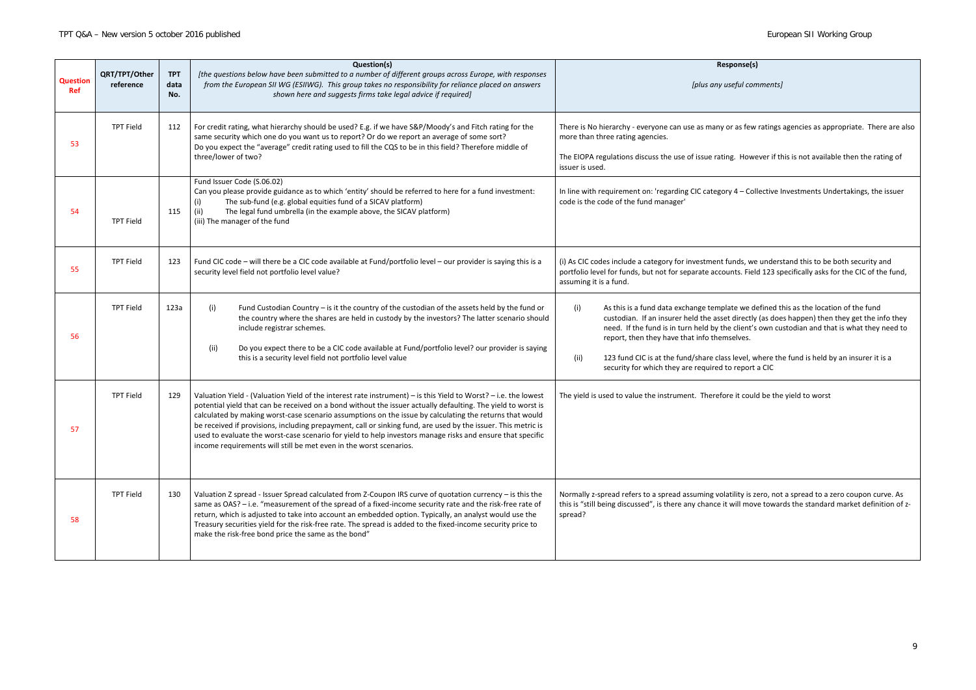| <b>Question</b><br><b>Ref</b> | QRT/TPT/Other<br>reference | <b>TPT</b><br>data<br>No. | Question(s)<br>[the questions below have been submitted to a number of different groups across Europe, with responses<br>from the European SII WG (ESIIWG). This group takes no responsibility for reliance placed on answers<br>shown here and suggests firms take legal advice if required]                                                                                                                                                                                                                                                                                                                                                   | Respo<br>[plus any use                                                                                                                                                                                                                                                                   |
|-------------------------------|----------------------------|---------------------------|-------------------------------------------------------------------------------------------------------------------------------------------------------------------------------------------------------------------------------------------------------------------------------------------------------------------------------------------------------------------------------------------------------------------------------------------------------------------------------------------------------------------------------------------------------------------------------------------------------------------------------------------------|------------------------------------------------------------------------------------------------------------------------------------------------------------------------------------------------------------------------------------------------------------------------------------------|
| 53                            | <b>TPT Field</b>           | 112                       | For credit rating, what hierarchy should be used? E.g. if we have S&P/Moody's and Fitch rating for the<br>same security which one do you want us to report? Or do we report an average of some sort?<br>Do you expect the "average" credit rating used to fill the CQS to be in this field? Therefore middle of<br>three/lower of two?                                                                                                                                                                                                                                                                                                          | There is No hierarchy - everyone can use as many or<br>more than three rating agencies.<br>The EIOPA regulations discuss the use of issue rating.<br>issuer is used.                                                                                                                     |
| 54                            | <b>TPT Field</b>           | 115                       | Fund Issuer Code (S.06.02)<br>Can you please provide guidance as to which 'entity' should be referred to here for a fund investment:<br>The sub-fund (e.g. global equities fund of a SICAV platform)<br>(i)<br>(ii)<br>The legal fund umbrella (in the example above, the SICAV platform)<br>(iii) The manager of the fund                                                                                                                                                                                                                                                                                                                      | In line with requirement on: 'regarding CIC category 4<br>code is the code of the fund manager'                                                                                                                                                                                          |
| 55                            | <b>TPT Field</b>           | 123                       | Fund CIC code - will there be a CIC code available at Fund/portfolio level - our provider is saying this is a<br>security level field not portfolio level value?                                                                                                                                                                                                                                                                                                                                                                                                                                                                                | (i) As CIC codes include a category for investment fun<br>portfolio level for funds, but not for separate account<br>assuming it is a fund.                                                                                                                                              |
| 56                            | <b>TPT Field</b>           | 123a                      | (i)<br>Fund Custodian Country - is it the country of the custodian of the assets held by the fund or<br>the country where the shares are held in custody by the investors? The latter scenario should<br>include registrar schemes.<br>(ii)<br>Do you expect there to be a CIC code available at Fund/portfolio level? our provider is saying<br>this is a security level field not portfolio level value                                                                                                                                                                                                                                       | (i)<br>As this is a fund data exchange template<br>custodian. If an insurer held the asset d<br>need. If the fund is in turn held by the o<br>report, then they have that info themse<br>123 fund CIC is at the fund/share class le<br>(ii)<br>security for which they are required to r |
| 57                            | <b>TPT Field</b>           | 129                       | Valuation Yield - (Valuation Yield of the interest rate instrument) – is this Yield to Worst? – i.e. the lowest<br>potential yield that can be received on a bond without the issuer actually defaulting. The yield to worst is<br>calculated by making worst-case scenario assumptions on the issue by calculating the returns that would<br>be received if provisions, including prepayment, call or sinking fund, are used by the issuer. This metric is<br>used to evaluate the worst-case scenario for yield to help investors manage risks and ensure that specific<br>income requirements will still be met even in the worst scenarios. | The yield is used to value the instrument. Therefore                                                                                                                                                                                                                                     |
| 58                            | <b>TPT Field</b>           | 130                       | Valuation Z spread - Issuer Spread calculated from Z-Coupon IRS curve of quotation currency - is this the<br>same as OAS? - i.e. "measurement of the spread of a fixed-income security rate and the risk-free rate of<br>return, which is adjusted to take into account an embedded option. Typically, an analyst would use the<br>Treasury securities yield for the risk-free rate. The spread is added to the fixed-income security price to<br>make the risk-free bond price the same as the bond"                                                                                                                                           | Normally z-spread refers to a spread assuming volatil<br>this is "still being discussed", is there any chance it w<br>spread?                                                                                                                                                            |

# onse(s) *[plus any useful comments]* as few ratings agencies as appropriate. There are also However if this is not available then the rating of 4 – Collective Investments Undertakings, the issuer nds, we understand this to be both security and its. Field 123 specifically asks for the CIC of the fund, e we defined this as the location of the fund directly (as does happen) then they get the info they client's own custodian and that is what they need to elves. level, where the fund is held by an insurer it is a report a CIC it could be the yield to worst

ility is zero, not a spread to a zero coupon curve. As ill move towards the standard market definition of z-